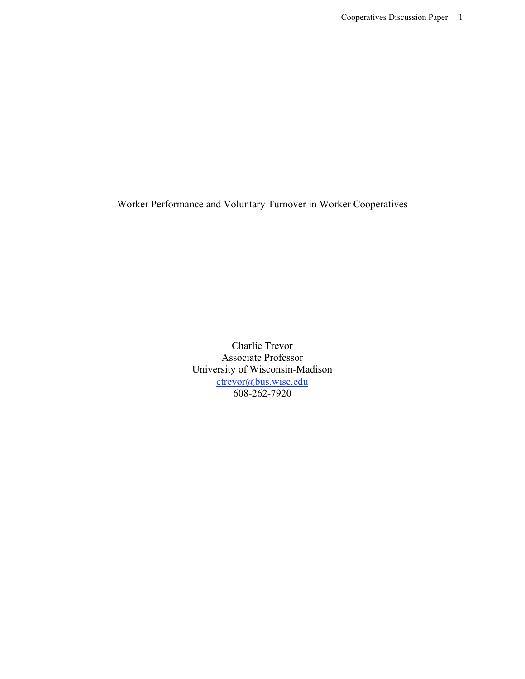Worker Performance and Voluntary Turnover in Worker Cooperatives

Charlie Trevor Associate Professor University of Wisconsin-Madison ctrevor@bus.wisc.edu 608-262-7920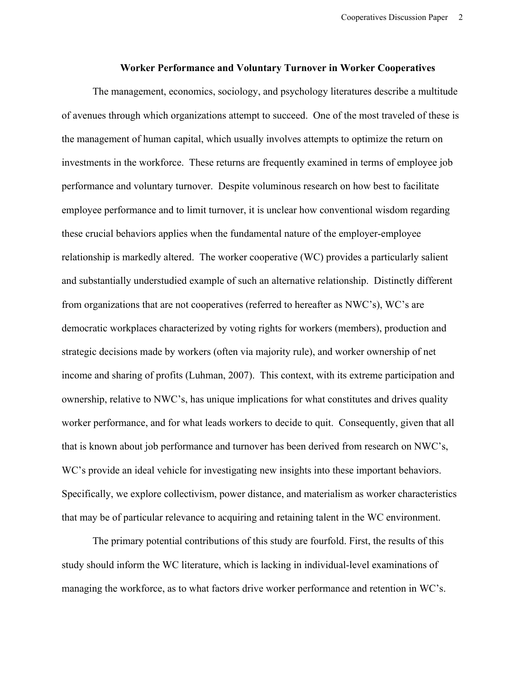#### **Worker Performance and Voluntary Turnover in Worker Cooperatives**

The management, economics, sociology, and psychology literatures describe a multitude of avenues through which organizations attempt to succeed. One of the most traveled of these is the management of human capital, which usually involves attempts to optimize the return on investments in the workforce. These returns are frequently examined in terms of employee job performance and voluntary turnover. Despite voluminous research on how best to facilitate employee performance and to limit turnover, it is unclear how conventional wisdom regarding these crucial behaviors applies when the fundamental nature of the employer-employee relationship is markedly altered. The worker cooperative (WC) provides a particularly salient and substantially understudied example of such an alternative relationship. Distinctly different from organizations that are not cooperatives (referred to hereafter as NWC's), WC's are democratic workplaces characterized by voting rights for workers (members), production and strategic decisions made by workers (often via majority rule), and worker ownership of net income and sharing of profits (Luhman, 2007). This context, with its extreme participation and ownership, relative to NWC's, has unique implications for what constitutes and drives quality worker performance, and for what leads workers to decide to quit. Consequently, given that all that is known about job performance and turnover has been derived from research on NWC's, WC's provide an ideal vehicle for investigating new insights into these important behaviors. Specifically, we explore collectivism, power distance, and materialism as worker characteristics that may be of particular relevance to acquiring and retaining talent in the WC environment.

The primary potential contributions of this study are fourfold. First, the results of this study should inform the WC literature, which is lacking in individual-level examinations of managing the workforce, as to what factors drive worker performance and retention in WC's.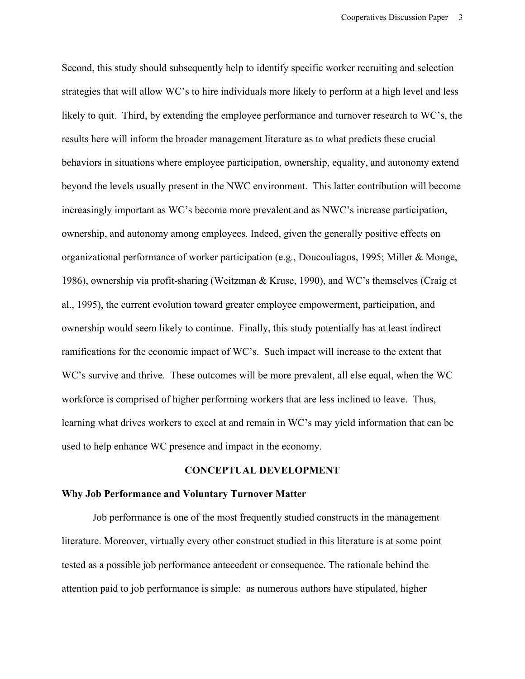Second, this study should subsequently help to identify specific worker recruiting and selection strategies that will allow WC's to hire individuals more likely to perform at a high level and less likely to quit. Third, by extending the employee performance and turnover research to WC's, the results here will inform the broader management literature as to what predicts these crucial behaviors in situations where employee participation, ownership, equality, and autonomy extend beyond the levels usually present in the NWC environment. This latter contribution will become increasingly important as WC's become more prevalent and as NWC's increase participation, ownership, and autonomy among employees. Indeed, given the generally positive effects on organizational performance of worker participation (e.g., Doucouliagos, 1995; Miller & Monge, 1986), ownership via profit-sharing (Weitzman & Kruse, 1990), and WC's themselves (Craig et al., 1995), the current evolution toward greater employee empowerment, participation, and ownership would seem likely to continue. Finally, this study potentially has at least indirect ramifications for the economic impact of WC's. Such impact will increase to the extent that WC's survive and thrive. These outcomes will be more prevalent, all else equal, when the WC workforce is comprised of higher performing workers that are less inclined to leave. Thus, learning what drives workers to excel at and remain in WC's may yield information that can be used to help enhance WC presence and impact in the economy.

### **CONCEPTUAL DEVELOPMENT**

## **Why Job Performance and Voluntary Turnover Matter**

Job performance is one of the most frequently studied constructs in the management literature. Moreover, virtually every other construct studied in this literature is at some point tested as a possible job performance antecedent or consequence. The rationale behind the attention paid to job performance is simple: as numerous authors have stipulated, higher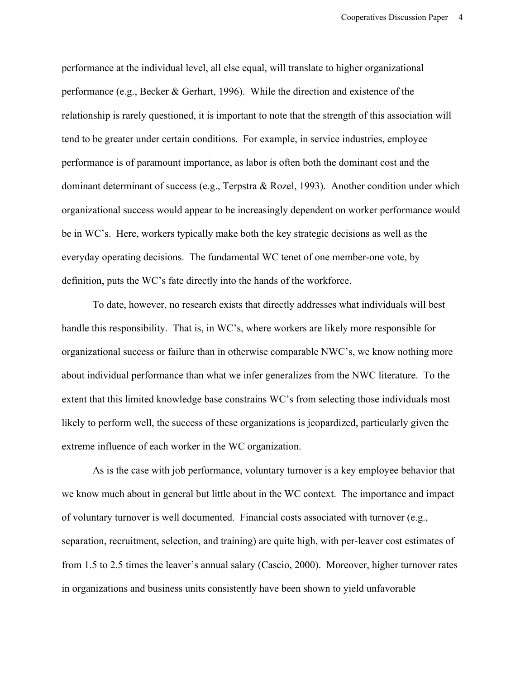performance at the individual level, all else equal, will translate to higher organizational performance (e.g., Becker & Gerhart, 1996). While the direction and existence of the relationship is rarely questioned, it is important to note that the strength of this association will tend to be greater under certain conditions. For example, in service industries, employee performance is of paramount importance, as labor is often both the dominant cost and the dominant determinant of success (e.g., Terpstra & Rozel, 1993). Another condition under which organizational success would appear to be increasingly dependent on worker performance would be in WC's. Here, workers typically make both the key strategic decisions as well as the everyday operating decisions. The fundamental WC tenet of one member-one vote, by definition, puts the WC's fate directly into the hands of the workforce.

To date, however, no research exists that directly addresses what individuals will best handle this responsibility. That is, in WC's, where workers are likely more responsible for organizational success or failure than in otherwise comparable NWC's, we know nothing more about individual performance than what we infer generalizes from the NWC literature. To the extent that this limited knowledge base constrains WC's from selecting those individuals most likely to perform well, the success of these organizations is jeopardized, particularly given the extreme influence of each worker in the WC organization.

As is the case with job performance, voluntary turnover is a key employee behavior that we know much about in general but little about in the WC context. The importance and impact of voluntary turnover is well documented. Financial costs associated with turnover (e.g., separation, recruitment, selection, and training) are quite high, with per-leaver cost estimates of from 1.5 to 2.5 times the leaver's annual salary (Cascio, 2000). Moreover, higher turnover rates in organizations and business units consistently have been shown to yield unfavorable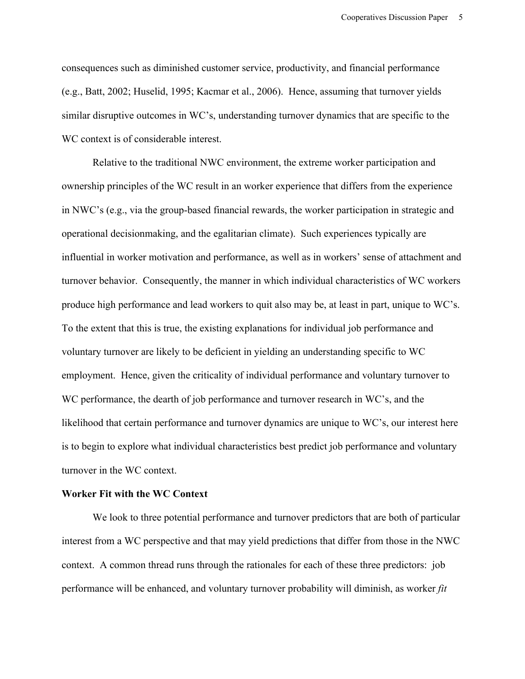consequences such as diminished customer service, productivity, and financial performance (e.g., Batt, 2002; Huselid, 1995; Kacmar et al., 2006). Hence, assuming that turnover yields similar disruptive outcomes in WC's, understanding turnover dynamics that are specific to the WC context is of considerable interest.

Relative to the traditional NWC environment, the extreme worker participation and ownership principles of the WC result in an worker experience that differs from the experience in NWC's (e.g., via the group-based financial rewards, the worker participation in strategic and operational decisionmaking, and the egalitarian climate). Such experiences typically are influential in worker motivation and performance, as well as in workers' sense of attachment and turnover behavior. Consequently, the manner in which individual characteristics of WC workers produce high performance and lead workers to quit also may be, at least in part, unique to WC's. To the extent that this is true, the existing explanations for individual job performance and voluntary turnover are likely to be deficient in yielding an understanding specific to WC employment. Hence, given the criticality of individual performance and voluntary turnover to WC performance, the dearth of job performance and turnover research in WC's, and the likelihood that certain performance and turnover dynamics are unique to WC's, our interest here is to begin to explore what individual characteristics best predict job performance and voluntary turnover in the WC context.

# **Worker Fit with the WC Context**

We look to three potential performance and turnover predictors that are both of particular interest from a WC perspective and that may yield predictions that differ from those in the NWC context. A common thread runs through the rationales for each of these three predictors: job performance will be enhanced, and voluntary turnover probability will diminish, as worker *fit*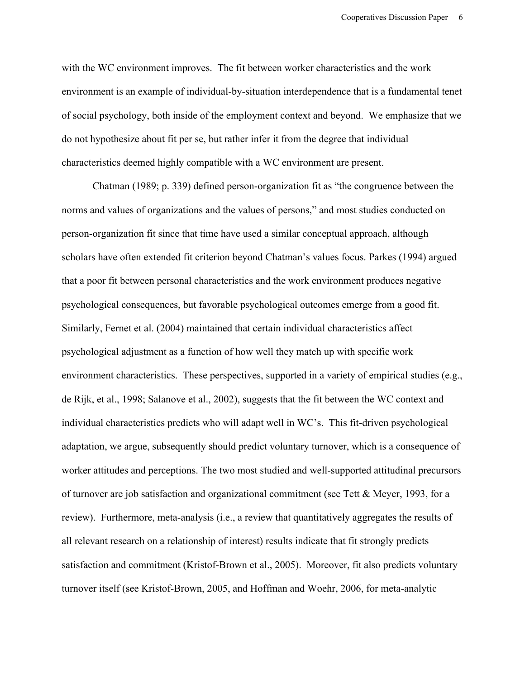with the WC environment improves. The fit between worker characteristics and the work environment is an example of individual-by-situation interdependence that is a fundamental tenet of social psychology, both inside of the employment context and beyond. We emphasize that we do not hypothesize about fit per se, but rather infer it from the degree that individual characteristics deemed highly compatible with a WC environment are present.

Chatman (1989; p. 339) defined person-organization fit as "the congruence between the norms and values of organizations and the values of persons," and most studies conducted on person-organization fit since that time have used a similar conceptual approach, although scholars have often extended fit criterion beyond Chatman's values focus. Parkes (1994) argued that a poor fit between personal characteristics and the work environment produces negative psychological consequences, but favorable psychological outcomes emerge from a good fit. Similarly, Fernet et al. (2004) maintained that certain individual characteristics affect psychological adjustment as a function of how well they match up with specific work environment characteristics. These perspectives, supported in a variety of empirical studies (e.g., de Rijk, et al., 1998; Salanove et al., 2002), suggests that the fit between the WC context and individual characteristics predicts who will adapt well in WC's. This fit-driven psychological adaptation, we argue, subsequently should predict voluntary turnover, which is a consequence of worker attitudes and perceptions. The two most studied and well-supported attitudinal precursors of turnover are job satisfaction and organizational commitment (see Tett & Meyer, 1993, for a review). Furthermore, meta-analysis (i.e., a review that quantitatively aggregates the results of all relevant research on a relationship of interest) results indicate that fit strongly predicts satisfaction and commitment (Kristof-Brown et al., 2005). Moreover, fit also predicts voluntary turnover itself (see Kristof-Brown, 2005, and Hoffman and Woehr, 2006, for meta-analytic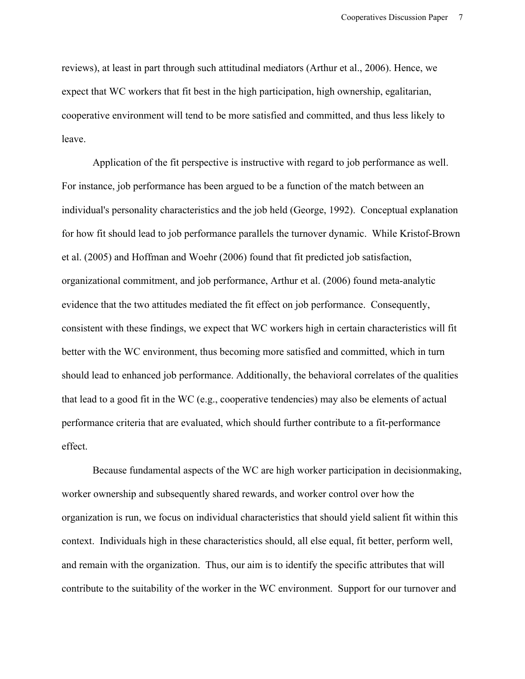reviews), at least in part through such attitudinal mediators (Arthur et al., 2006). Hence, we expect that WC workers that fit best in the high participation, high ownership, egalitarian, cooperative environment will tend to be more satisfied and committed, and thus less likely to leave.

Application of the fit perspective is instructive with regard to job performance as well. For instance, job performance has been argued to be a function of the match between an individual's personality characteristics and the job held (George, 1992). Conceptual explanation for how fit should lead to job performance parallels the turnover dynamic. While Kristof-Brown et al. (2005) and Hoffman and Woehr (2006) found that fit predicted job satisfaction, organizational commitment, and job performance, Arthur et al. (2006) found meta-analytic evidence that the two attitudes mediated the fit effect on job performance. Consequently, consistent with these findings, we expect that WC workers high in certain characteristics will fit better with the WC environment, thus becoming more satisfied and committed, which in turn should lead to enhanced job performance. Additionally, the behavioral correlates of the qualities that lead to a good fit in the WC (e.g., cooperative tendencies) may also be elements of actual performance criteria that are evaluated, which should further contribute to a fit-performance effect.

Because fundamental aspects of the WC are high worker participation in decisionmaking, worker ownership and subsequently shared rewards, and worker control over how the organization is run, we focus on individual characteristics that should yield salient fit within this context. Individuals high in these characteristics should, all else equal, fit better, perform well, and remain with the organization. Thus, our aim is to identify the specific attributes that will contribute to the suitability of the worker in the WC environment. Support for our turnover and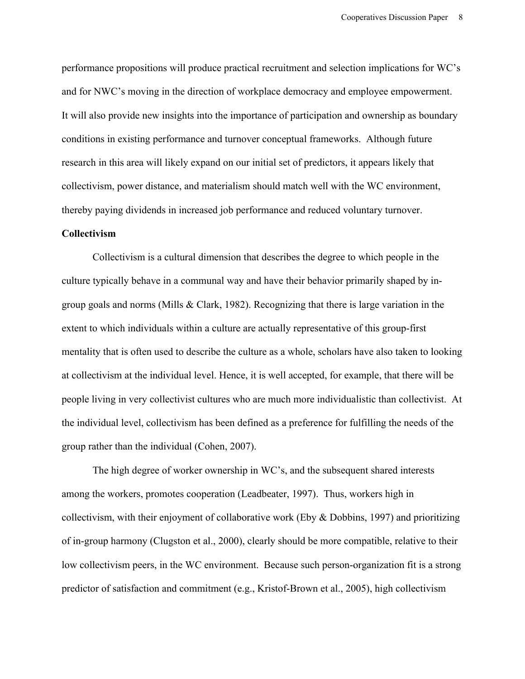performance propositions will produce practical recruitment and selection implications for WC's and for NWC's moving in the direction of workplace democracy and employee empowerment. It will also provide new insights into the importance of participation and ownership as boundary conditions in existing performance and turnover conceptual frameworks. Although future research in this area will likely expand on our initial set of predictors, it appears likely that collectivism, power distance, and materialism should match well with the WC environment, thereby paying dividends in increased job performance and reduced voluntary turnover.

# **Collectivism**

Collectivism is a cultural dimension that describes the degree to which people in the culture typically behave in a communal way and have their behavior primarily shaped by ingroup goals and norms (Mills & Clark, 1982). Recognizing that there is large variation in the extent to which individuals within a culture are actually representative of this group-first mentality that is often used to describe the culture as a whole, scholars have also taken to looking at collectivism at the individual level. Hence, it is well accepted, for example, that there will be people living in very collectivist cultures who are much more individualistic than collectivist. At the individual level, collectivism has been defined as a preference for fulfilling the needs of the group rather than the individual (Cohen, 2007).

The high degree of worker ownership in WC's, and the subsequent shared interests among the workers, promotes cooperation (Leadbeater, 1997). Thus, workers high in collectivism, with their enjoyment of collaborative work (Eby & Dobbins, 1997) and prioritizing of in-group harmony (Clugston et al., 2000), clearly should be more compatible, relative to their low collectivism peers, in the WC environment. Because such person-organization fit is a strong predictor of satisfaction and commitment (e.g., Kristof-Brown et al., 2005), high collectivism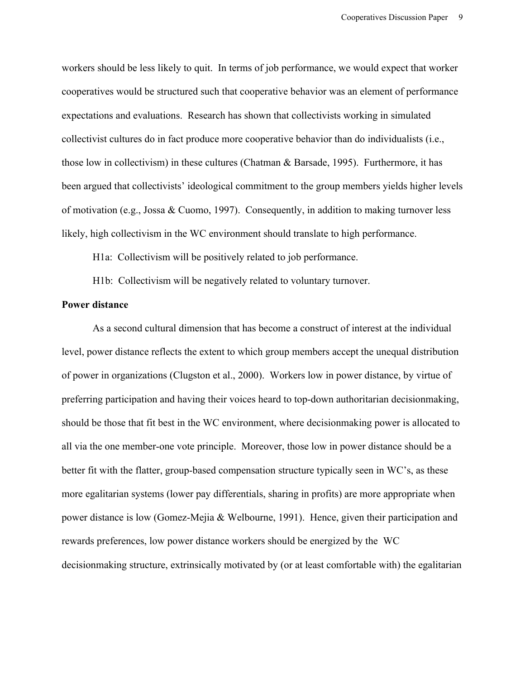workers should be less likely to quit. In terms of job performance, we would expect that worker cooperatives would be structured such that cooperative behavior was an element of performance expectations and evaluations. Research has shown that collectivists working in simulated collectivist cultures do in fact produce more cooperative behavior than do individualists (i.e., those low in collectivism) in these cultures (Chatman & Barsade, 1995). Furthermore, it has been argued that collectivists' ideological commitment to the group members yields higher levels of motivation (e.g., Jossa & Cuomo, 1997). Consequently, in addition to making turnover less likely, high collectivism in the WC environment should translate to high performance.

H1a: Collectivism will be positively related to job performance.

H1b: Collectivism will be negatively related to voluntary turnover.

#### **Power distance**

As a second cultural dimension that has become a construct of interest at the individual level, power distance reflects the extent to which group members accept the unequal distribution of power in organizations (Clugston et al., 2000). Workers low in power distance, by virtue of preferring participation and having their voices heard to top-down authoritarian decisionmaking, should be those that fit best in the WC environment, where decisionmaking power is allocated to all via the one member-one vote principle. Moreover, those low in power distance should be a better fit with the flatter, group-based compensation structure typically seen in WC's, as these more egalitarian systems (lower pay differentials, sharing in profits) are more appropriate when power distance is low (Gomez-Mejia & Welbourne, 1991). Hence, given their participation and rewards preferences, low power distance workers should be energized by the WC decisionmaking structure, extrinsically motivated by (or at least comfortable with) the egalitarian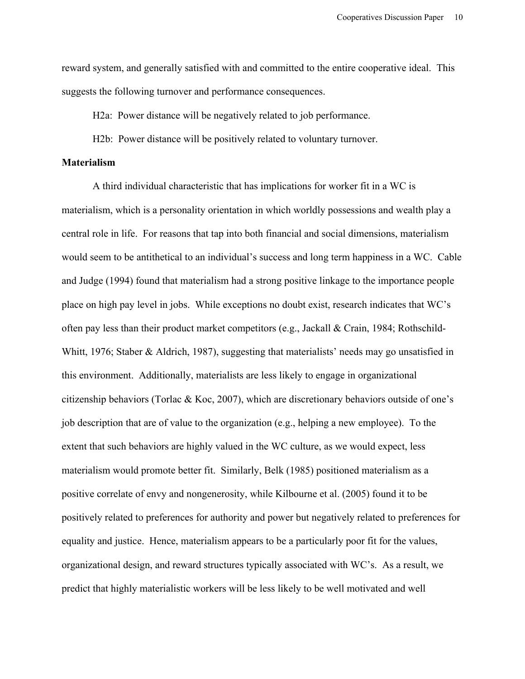reward system, and generally satisfied with and committed to the entire cooperative ideal. This suggests the following turnover and performance consequences.

H2a: Power distance will be negatively related to job performance.

H2b: Power distance will be positively related to voluntary turnover.

# **Materialism**

A third individual characteristic that has implications for worker fit in a WC is materialism, which is a personality orientation in which worldly possessions and wealth play a central role in life. For reasons that tap into both financial and social dimensions, materialism would seem to be antithetical to an individual's success and long term happiness in a WC. Cable and Judge (1994) found that materialism had a strong positive linkage to the importance people place on high pay level in jobs. While exceptions no doubt exist, research indicates that WC's often pay less than their product market competitors (e.g., Jackall & Crain, 1984; Rothschild-Whitt, 1976; Staber & Aldrich, 1987), suggesting that materialists' needs may go unsatisfied in this environment. Additionally, materialists are less likely to engage in organizational citizenship behaviors (Torlac & Koc, 2007), which are discretionary behaviors outside of one's job description that are of value to the organization (e.g., helping a new employee). To the extent that such behaviors are highly valued in the WC culture, as we would expect, less materialism would promote better fit. Similarly, Belk (1985) positioned materialism as a positive correlate of envy and nongenerosity, while Kilbourne et al. (2005) found it to be positively related to preferences for authority and power but negatively related to preferences for equality and justice. Hence, materialism appears to be a particularly poor fit for the values, organizational design, and reward structures typically associated with WC's. As a result, we predict that highly materialistic workers will be less likely to be well motivated and well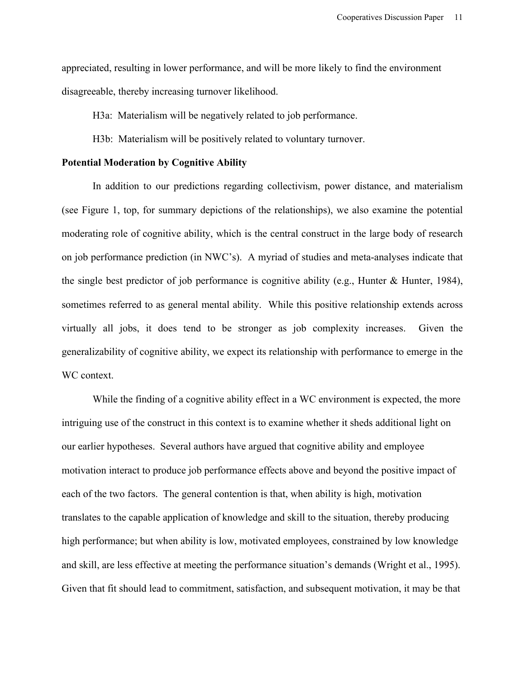appreciated, resulting in lower performance, and will be more likely to find the environment disagreeable, thereby increasing turnover likelihood.

H3a: Materialism will be negatively related to job performance.

H3b: Materialism will be positively related to voluntary turnover.

# **Potential Moderation by Cognitive Ability**

In addition to our predictions regarding collectivism, power distance, and materialism (see Figure 1, top, for summary depictions of the relationships), we also examine the potential moderating role of cognitive ability, which is the central construct in the large body of research on job performance prediction (in NWC's). A myriad of studies and meta-analyses indicate that the single best predictor of job performance is cognitive ability (e.g., Hunter & Hunter, 1984), sometimes referred to as general mental ability. While this positive relationship extends across virtually all jobs, it does tend to be stronger as job complexity increases. Given the generalizability of cognitive ability, we expect its relationship with performance to emerge in the WC context.

While the finding of a cognitive ability effect in a WC environment is expected, the more intriguing use of the construct in this context is to examine whether it sheds additional light on our earlier hypotheses. Several authors have argued that cognitive ability and employee motivation interact to produce job performance effects above and beyond the positive impact of each of the two factors. The general contention is that, when ability is high, motivation translates to the capable application of knowledge and skill to the situation, thereby producing high performance; but when ability is low, motivated employees, constrained by low knowledge and skill, are less effective at meeting the performance situation's demands (Wright et al., 1995). Given that fit should lead to commitment, satisfaction, and subsequent motivation, it may be that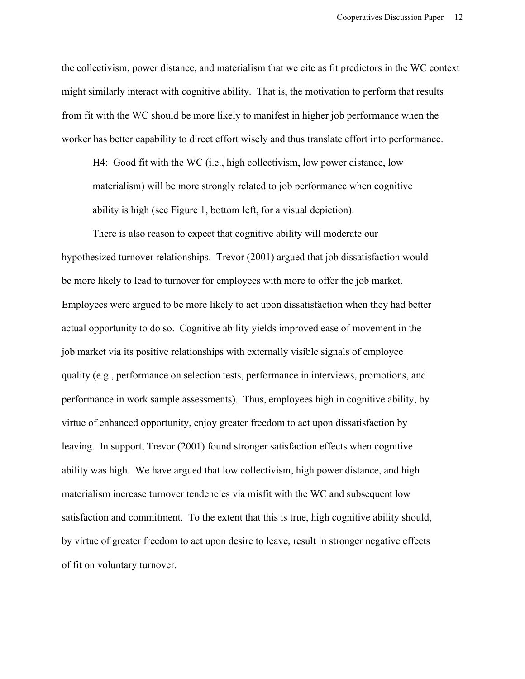the collectivism, power distance, and materialism that we cite as fit predictors in the WC context might similarly interact with cognitive ability. That is, the motivation to perform that results from fit with the WC should be more likely to manifest in higher job performance when the worker has better capability to direct effort wisely and thus translate effort into performance.

H4: Good fit with the WC (i.e., high collectivism, low power distance, low materialism) will be more strongly related to job performance when cognitive ability is high (see Figure 1, bottom left, for a visual depiction).

There is also reason to expect that cognitive ability will moderate our hypothesized turnover relationships. Trevor (2001) argued that job dissatisfaction would be more likely to lead to turnover for employees with more to offer the job market. Employees were argued to be more likely to act upon dissatisfaction when they had better actual opportunity to do so. Cognitive ability yields improved ease of movement in the job market via its positive relationships with externally visible signals of employee quality (e.g., performance on selection tests, performance in interviews, promotions, and performance in work sample assessments). Thus, employees high in cognitive ability, by virtue of enhanced opportunity, enjoy greater freedom to act upon dissatisfaction by leaving. In support, Trevor (2001) found stronger satisfaction effects when cognitive ability was high. We have argued that low collectivism, high power distance, and high materialism increase turnover tendencies via misfit with the WC and subsequent low satisfaction and commitment. To the extent that this is true, high cognitive ability should, by virtue of greater freedom to act upon desire to leave, result in stronger negative effects of fit on voluntary turnover.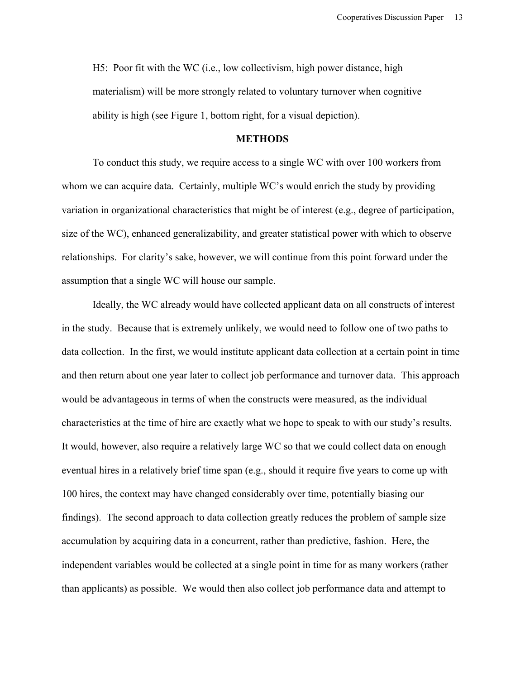H5: Poor fit with the WC (i.e., low collectivism, high power distance, high materialism) will be more strongly related to voluntary turnover when cognitive ability is high (see Figure 1, bottom right, for a visual depiction).

# **METHODS**

To conduct this study, we require access to a single WC with over 100 workers from whom we can acquire data. Certainly, multiple WC's would enrich the study by providing variation in organizational characteristics that might be of interest (e.g., degree of participation, size of the WC), enhanced generalizability, and greater statistical power with which to observe relationships. For clarity's sake, however, we will continue from this point forward under the assumption that a single WC will house our sample.

Ideally, the WC already would have collected applicant data on all constructs of interest in the study. Because that is extremely unlikely, we would need to follow one of two paths to data collection. In the first, we would institute applicant data collection at a certain point in time and then return about one year later to collect job performance and turnover data. This approach would be advantageous in terms of when the constructs were measured, as the individual characteristics at the time of hire are exactly what we hope to speak to with our study's results. It would, however, also require a relatively large WC so that we could collect data on enough eventual hires in a relatively brief time span (e.g., should it require five years to come up with 100 hires, the context may have changed considerably over time, potentially biasing our findings). The second approach to data collection greatly reduces the problem of sample size accumulation by acquiring data in a concurrent, rather than predictive, fashion. Here, the independent variables would be collected at a single point in time for as many workers (rather than applicants) as possible. We would then also collect job performance data and attempt to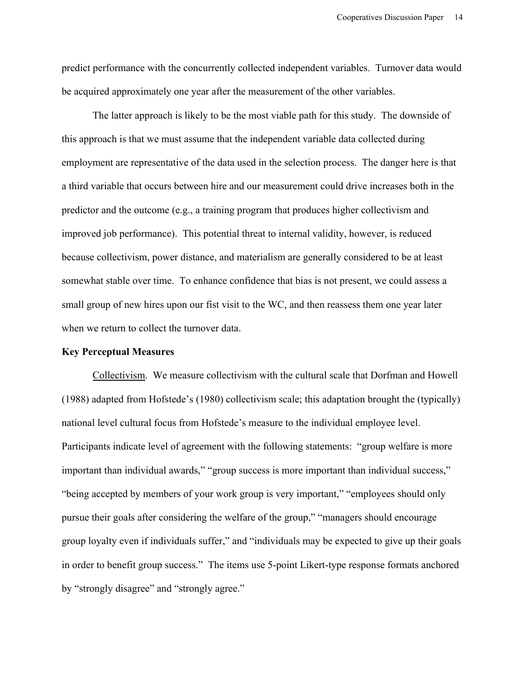predict performance with the concurrently collected independent variables. Turnover data would be acquired approximately one year after the measurement of the other variables.

The latter approach is likely to be the most viable path for this study. The downside of this approach is that we must assume that the independent variable data collected during employment are representative of the data used in the selection process. The danger here is that a third variable that occurs between hire and our measurement could drive increases both in the predictor and the outcome (e.g., a training program that produces higher collectivism and improved job performance). This potential threat to internal validity, however, is reduced because collectivism, power distance, and materialism are generally considered to be at least somewhat stable over time. To enhance confidence that bias is not present, we could assess a small group of new hires upon our fist visit to the WC, and then reassess them one year later when we return to collect the turnover data.

# **Key Perceptual Measures**

Collectivism. We measure collectivism with the cultural scale that Dorfman and Howell (1988) adapted from Hofstede's (1980) collectivism scale; this adaptation brought the (typically) national level cultural focus from Hofstede's measure to the individual employee level. Participants indicate level of agreement with the following statements: "group welfare is more important than individual awards," "group success is more important than individual success," "being accepted by members of your work group is very important," "employees should only pursue their goals after considering the welfare of the group," "managers should encourage group loyalty even if individuals suffer," and "individuals may be expected to give up their goals in order to benefit group success." The items use 5-point Likert-type response formats anchored by "strongly disagree" and "strongly agree."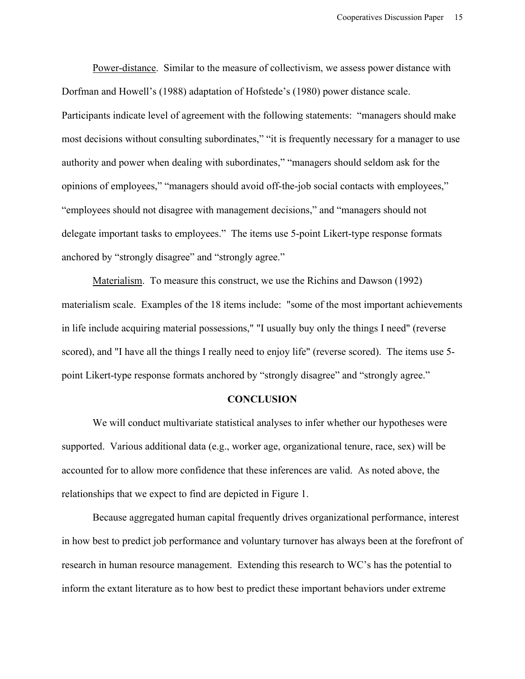Power-distance. Similar to the measure of collectivism, we assess power distance with Dorfman and Howell's (1988) adaptation of Hofstede's (1980) power distance scale. Participants indicate level of agreement with the following statements: "managers should make most decisions without consulting subordinates," "it is frequently necessary for a manager to use authority and power when dealing with subordinates," "managers should seldom ask for the opinions of employees," "managers should avoid off-the-job social contacts with employees," "employees should not disagree with management decisions," and "managers should not delegate important tasks to employees." The items use 5-point Likert-type response formats anchored by "strongly disagree" and "strongly agree."

Materialism. To measure this construct, we use the Richins and Dawson (1992) materialism scale. Examples of the 18 items include: "some of the most important achievements in life include acquiring material possessions," "I usually buy only the things I need" (reverse scored), and "I have all the things I really need to enjoy life" (reverse scored). The items use 5 point Likert-type response formats anchored by "strongly disagree" and "strongly agree."

## **CONCLUSION**

We will conduct multivariate statistical analyses to infer whether our hypotheses were supported. Various additional data (e.g., worker age, organizational tenure, race, sex) will be accounted for to allow more confidence that these inferences are valid. As noted above, the relationships that we expect to find are depicted in Figure 1.

Because aggregated human capital frequently drives organizational performance, interest in how best to predict job performance and voluntary turnover has always been at the forefront of research in human resource management. Extending this research to WC's has the potential to inform the extant literature as to how best to predict these important behaviors under extreme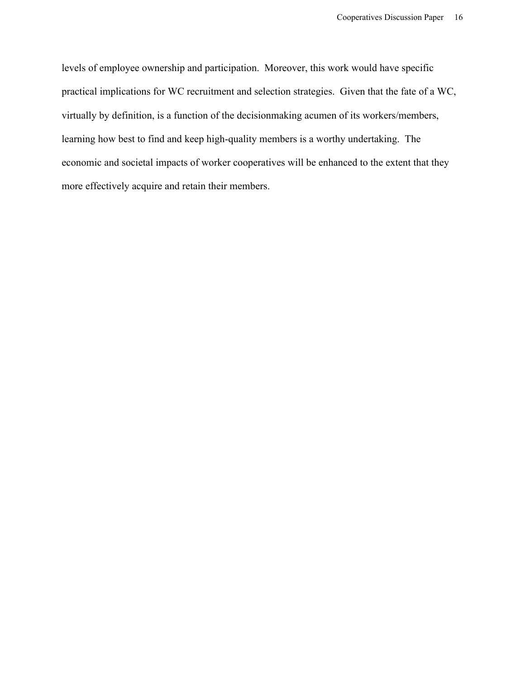levels of employee ownership and participation. Moreover, this work would have specific practical implications for WC recruitment and selection strategies. Given that the fate of a WC, virtually by definition, is a function of the decisionmaking acumen of its workers/members, learning how best to find and keep high-quality members is a worthy undertaking. The economic and societal impacts of worker cooperatives will be enhanced to the extent that they more effectively acquire and retain their members.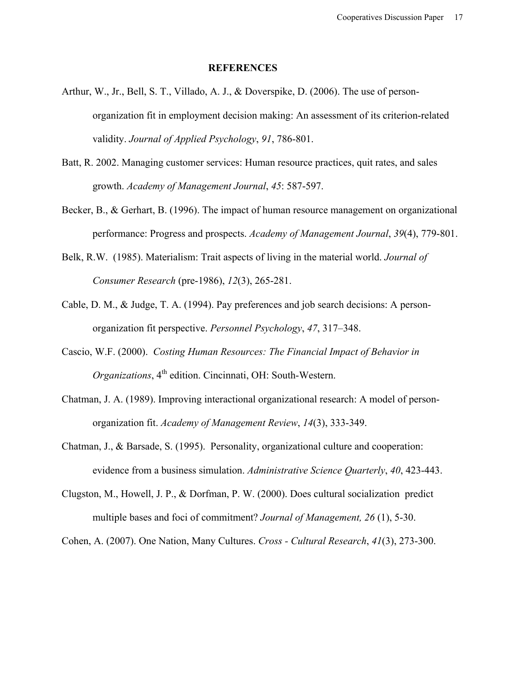#### **REFERENCES**

- Arthur, W., Jr., Bell, S. T., Villado, A. J., & Doverspike, D. (2006). The use of personorganization fit in employment decision making: An assessment of its criterion-related validity. *Journal of Applied Psychology*, *91*, 786-801.
- Batt, R. 2002. Managing customer services: Human resource practices, quit rates, and sales growth. *Academy of Management Journal*, *45*: 587-597.
- Becker, B., & Gerhart, B. (1996). The impact of human resource management on organizational performance: Progress and prospects. *Academy of Management Journal*, *39*(4), 779-801.
- Belk, R.W. (1985). Materialism: Trait aspects of living in the material world. *Journal of Consumer Research* (pre-1986), *12*(3), 265-281.
- Cable, D. M., & Judge, T. A. (1994). Pay preferences and job search decisions: A personorganization fit perspective. *Personnel Psychology*, *47*, 317–348.
- Cascio, W.F. (2000). *Costing Human Resources: The Financial Impact of Behavior in Organizations*, 4<sup>th</sup> edition. Cincinnati, OH: South-Western.
- Chatman, J. A. (1989). Improving interactional organizational research: A model of personorganization fit. *Academy of Management Review*, *14*(3), 333-349.
- Chatman, J., & Barsade, S. (1995). Personality, organizational culture and cooperation: evidence from a business simulation. *Administrative Science Quarterly*, *40*, 423-443.
- Clugston, M., Howell, J. P., & Dorfman, P. W. (2000). Does cultural socialization predict multiple bases and foci of commitment? *Journal of Management, 26* (1), 5-30.

Cohen, A. (2007). One Nation, Many Cultures. *Cross - Cultural Research*, *41*(3), 273-300.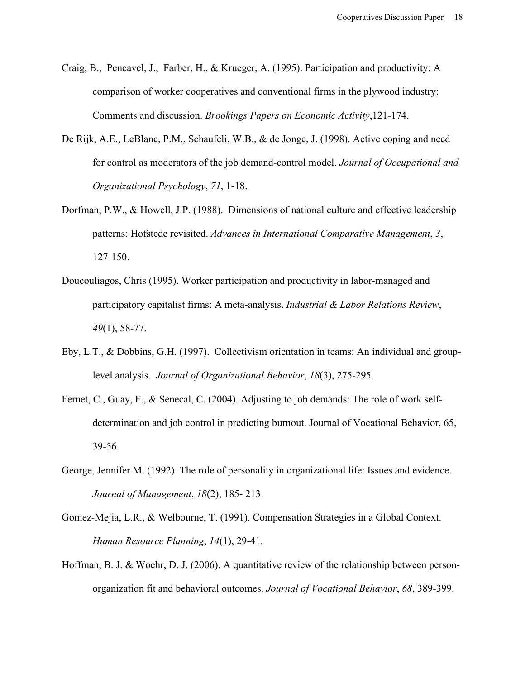- Craig, B., Pencavel, J., Farber, H., & Krueger, A. (1995). Participation and productivity: A comparison of worker cooperatives and conventional firms in the plywood industry; Comments and discussion. *Brookings Papers on Economic Activity*,121-174.
- De Rijk, A.E., LeBlanc, P.M., Schaufeli, W.B., & de Jonge, J. (1998). Active coping and need for control as moderators of the job demand-control model. *Journal of Occupational and Organizational Psychology*, *71*, 1-18.
- Dorfman, P.W., & Howell, J.P. (1988). Dimensions of national culture and effective leadership patterns: Hofstede revisited. *Advances in International Comparative Management*, *3*, 127-150.
- Doucouliagos, Chris (1995). Worker participation and productivity in labor-managed and participatory capitalist firms: A meta-analysis. *Industrial & Labor Relations Review*, *49*(1), 58-77.
- Eby, L.T., & Dobbins, G.H. (1997). Collectivism orientation in teams: An individual and grouplevel analysis. *Journal of Organizational Behavior*, *18*(3), 275-295.
- Fernet, C., Guay, F., & Senecal, C. (2004). Adjusting to job demands: The role of work selfdetermination and job control in predicting burnout. Journal of Vocational Behavior, 65, 39-56.
- George, Jennifer M. (1992). The role of personality in organizational life: Issues and evidence. *Journal of Management*, *18*(2), 185- 213.
- Gomez-Mejia, L.R., & Welbourne, T. (1991). Compensation Strategies in a Global Context. *Human Resource Planning*, *14*(1), 29-41.
- Hoffman, B. J. & Woehr, D. J. (2006). A quantitative review of the relationship between personorganization fit and behavioral outcomes. *Journal of Vocational Behavior*, *68*, 389-399.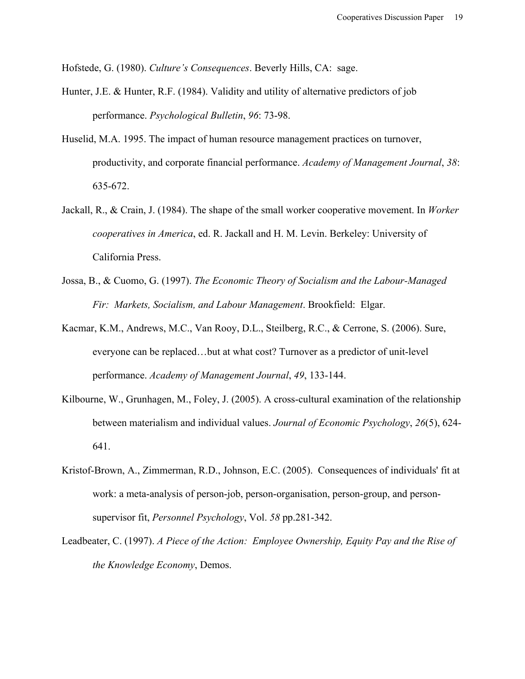Hofstede, G. (1980). *Culture's Consequences*. Beverly Hills, CA: sage.

- Hunter, J.E. & Hunter, R.F. (1984). Validity and utility of alternative predictors of job performance. *Psychological Bulletin*, *96*: 73-98.
- Huselid, M.A. 1995. The impact of human resource management practices on turnover, productivity, and corporate financial performance. *Academy of Management Journal*, *38*: 635-672.
- Jackall, R., & Crain, J. (1984). The shape of the small worker cooperative movement. In *Worker cooperatives in America*, ed. R. Jackall and H. M. Levin. Berkeley: University of California Press.
- Jossa, B., & Cuomo, G. (1997). *The Economic Theory of Socialism and the Labour-Managed Fir: Markets, Socialism, and Labour Management*. Brookfield: Elgar.
- Kacmar, K.M., Andrews, M.C., Van Rooy, D.L., Steilberg, R.C., & Cerrone, S. (2006). Sure, everyone can be replaced…but at what cost? Turnover as a predictor of unit-level performance. *Academy of Management Journal*, *49*, 133-144.
- Kilbourne, W., Grunhagen, M., Foley, J. (2005). A cross-cultural examination of the relationship between materialism and individual values. *Journal of Economic Psychology*, *26*(5), 624- 641.
- Kristof-Brown, A., Zimmerman, R.D., Johnson, E.C. (2005). Consequences of individuals' fit at work: a meta-analysis of person-job, person-organisation, person-group, and personsupervisor fit, *Personnel Psychology*, Vol. *58* pp.281-342.
- Leadbeater, C. (1997). *A Piece of the Action: Employee Ownership, Equity Pay and the Rise of the Knowledge Economy*, Demos.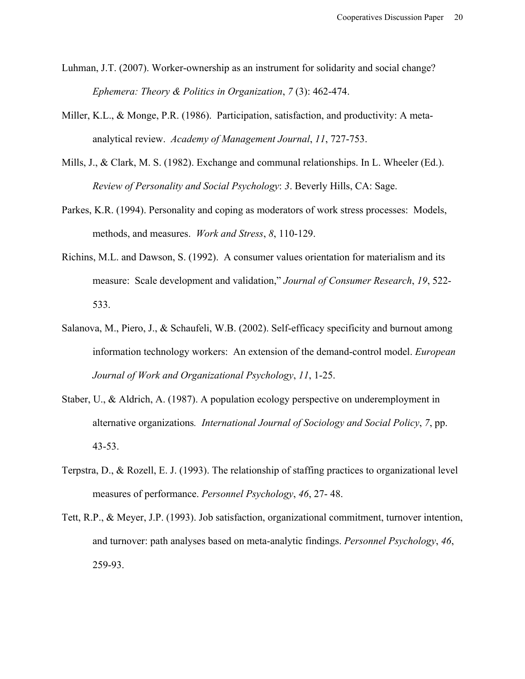- Luhman, J.T. (2007). Worker-ownership as an instrument for solidarity and social change? *Ephemera: Theory & Politics in Organization*, *7* (3): 462-474.
- Miller, K.L., & Monge, P.R. (1986). Participation, satisfaction, and productivity: A metaanalytical review. *Academy of Management Journal*, *11*, 727-753.
- Mills, J., & Clark, M. S. (1982). Exchange and communal relationships. In L. Wheeler (Ed.). *Review of Personality and Social Psychology*: *3*. Beverly Hills, CA: Sage.
- Parkes, K.R. (1994). Personality and coping as moderators of work stress processes: Models, methods, and measures. *Work and Stress*, *8*, 110-129.
- Richins, M.L. and Dawson, S. (1992). A consumer values orientation for materialism and its measure: Scale development and validation," *Journal of Consumer Research*, *19*, 522- 533.
- Salanova, M., Piero, J., & Schaufeli, W.B. (2002). Self-efficacy specificity and burnout among information technology workers: An extension of the demand-control model. *European Journal of Work and Organizational Psychology*, *11*, 1-25.
- Staber, U., & Aldrich, A. (1987). A population ecology perspective on underemployment in alternative organizations*. International Journal of Sociology and Social Policy*, *7*, pp. 43-53.
- Terpstra, D., & Rozell, E. J. (1993). The relationship of staffing practices to organizational level measures of performance. *Personnel Psychology*, *46*, 27- 48.
- Tett, R.P., & Meyer, J.P. (1993). Job satisfaction, organizational commitment, turnover intention, and turnover: path analyses based on meta-analytic findings. *Personnel Psychology*, *46*, 259-93.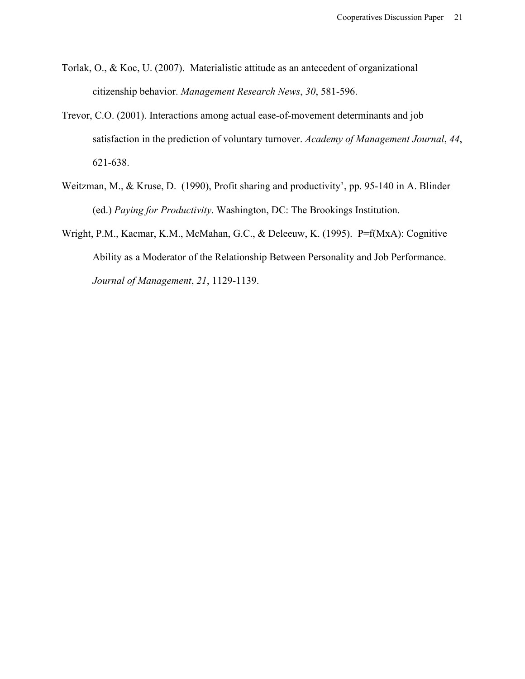- Torlak, O., & Koc, U. (2007). Materialistic attitude as an antecedent of organizational citizenship behavior. *Management Research News*, *30*, 581-596.
- Trevor, C.O. (2001). Interactions among actual ease-of-movement determinants and job satisfaction in the prediction of voluntary turnover. *Academy of Management Journal*, *44*, 621-638.
- Weitzman, M., & Kruse, D. (1990), Profit sharing and productivity', pp. 95-140 in A. Blinder (ed.) *Paying for Productivity*. Washington, DC: The Brookings Institution.
- Wright, P.M., Kacmar, K.M., McMahan, G.C., & Deleeuw, K. (1995). P=f(MxA): Cognitive Ability as a Moderator of the Relationship Between Personality and Job Performance. *Journal of Management*, *21*, 1129-1139.